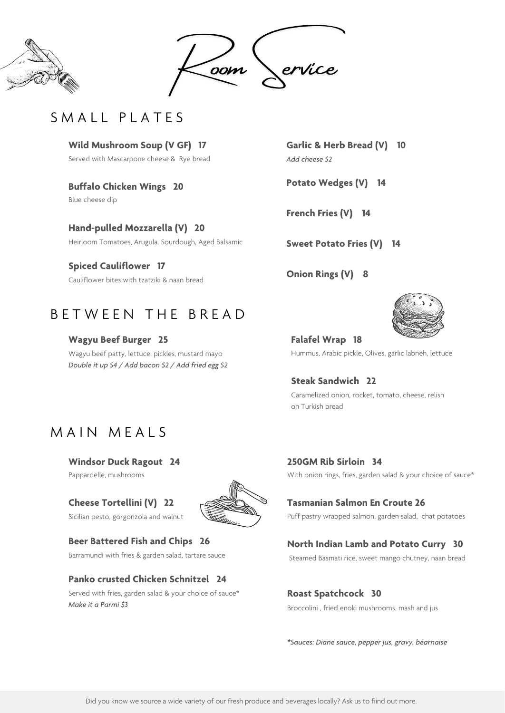



# SMALL PLATES

## **Windsor Duck Ragout 24**

Pappardelle, mushrooms

# **Cheese Tortellini (V) 22**

Sicilian pesto, gorgonzola and walnut



## **Beer Battered Fish and Chips 26**

Barramundi with fries & garden salad, tartare sauce

### **Panko crusted Chicken Schnitzel 24**

**250GM Rib Sirloin 34** With onion rings, fries, garden salad & your choice of sauce\*

Served with fries, garden salad & your choice of sauce\* *Make it a Parmi \$3*

**Garlic & Herb Bread (V) 10** *Add cheese \$2*

**Potato Wedges (V) 14**

**French Fries (V) 14**

**Sweet Potato Fries (V) 14**

**Onion Rings (V) 8**

# B E T W E E N T H E B R E A D

## **Tasmanian Salmon En Croute 26**

Puff pastry wrapped salmon, garden salad, chat potatoes

#### **North Indian Lamb and Potato Curry 30**

Steamed Basmati rice, sweet mango chutney, naan bread

## **Roast Spatchcock 30**

Broccolini , fried enoki mushrooms, mash and jus

*\*Sauces: Diane sauce, pepper jus, gravy, béarnaise*

**Falafel Wrap 18** Hummus, Arabic pickle, Olives, garlic labneh, lettuce

**Steak Sandwich 22** Caramelized onion, rocket, tomato, cheese, relish on Turkish bread

# MAIN MEALS

**Wild Mushroom Soup (V GF) 17** Served with Mascarpone cheese & Rye bread

**Buffalo Chicken Wings 20**

Blue cheese dip

**Hand-pulled Mozzarella (V) 20** Heirloom Tomatoes, Arugula, Sourdough, Aged Balsamic

**Spiced Cauliflower 17** Cauliflower bites with tzatziki & naan bread

**Wagyu Beef Burger 25** Wagyu beef patty, lettuce, pickles, mustard mayo *Double it up \$4 / Add bacon \$2 / Add fried egg \$2*



Did you know we source a wide variety of our fresh produce and beverages locally? Ask us to fiind out more.